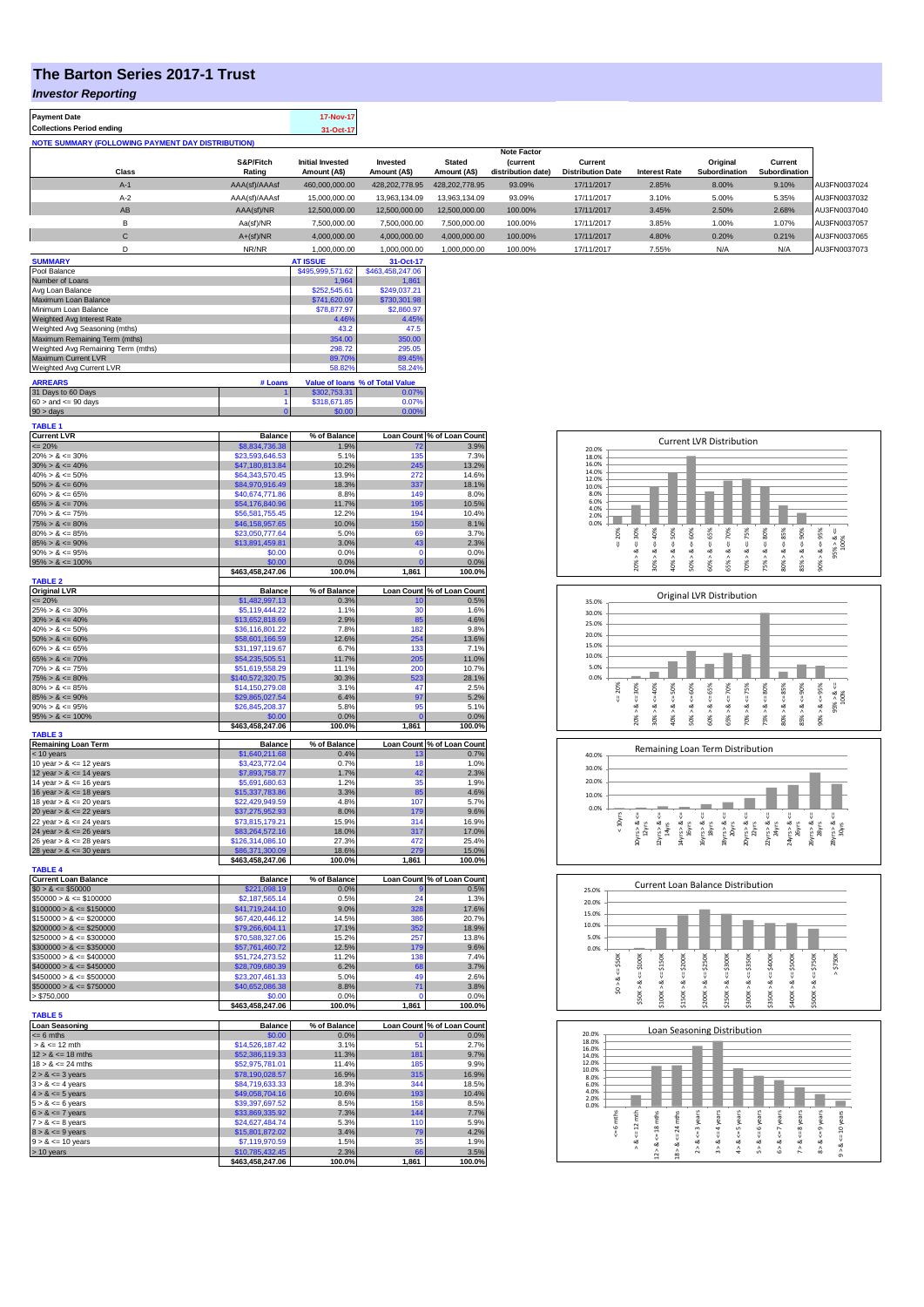## **The Barton Series 2017-1 Trust**

**Payment Date 17-Nov-17** 

*Investor Reporting*

| Collections Period ending                         |               | 31-Oct-17               |                |                |                                       |                          |                      |                      |               |              |
|---------------------------------------------------|---------------|-------------------------|----------------|----------------|---------------------------------------|--------------------------|----------------------|----------------------|---------------|--------------|
| NOTE SUMMARY (FOLLOWING PAYMENT DAY DISTRIBUTION) |               |                         |                |                |                                       |                          |                      |                      |               |              |
|                                                   | S&P/Fitch     | <b>Initial Invested</b> | Invested       | <b>Stated</b>  | <b>Note Factor</b><br><i>(current</i> | Current                  |                      | Original             | Current       |              |
| <b>Class</b>                                      | Rating        | Amount (A\$)            | Amount (A\$)   | Amount (A\$)   | distribution date)                    | <b>Distribution Date</b> | <b>Interest Rate</b> | <b>Subordination</b> | Subordination |              |
| $A-1$                                             | AAA(sf)/AAAsf | 460,000,000.00          | 428.202.778.95 | 428.202.778.95 | 93.09%                                | 17/11/2017               | 2.85%                | 8.00%                | 9.10%         | AU3FN0037024 |
| $A-2$                                             | AAA(sf)/AAAsf | 15,000,000.00           | 13,963,134.09  | 13,963,134.09  | 93.09%                                | 17/11/2017               | 3.10%                | 5.00%                | 5.35%         | AU3FN0037032 |
| AB                                                | AAA(sf)/NR    | 12,500,000.00           | 12,500,000.00  | 12,500,000.00  | 100.00%                               | 17/11/2017               | 3.45%                | 2.50%                | 2.68%         | AU3FN0037040 |
| в                                                 | Aa(sf)/NR     | 7,500,000.00            | 7.500.000.00   | 7.500.000.00   | 100.00%                               | 17/11/2017               | 3.85%                | 1.00%                | 1.07%         | AU3FN0037057 |
| $\sim$<br>Ü                                       | $A+(sf)/NR$   | 4.000.000.00            | 4.000.000.00   | 4.000.000.00   | 100.00%                               | 17/11/2017               | 4.80%                | 0.20%                | 0.21%         | AU3FN0037065 |
|                                                   | NR/NR         | 1,000,000.00            | 1.000.000.00   | 1.000.000.00   | 100.00%                               | 17/11/2017               | 7.55%                | N/A                  | N/A           | AU3FN0037073 |
|                                                   |               |                         |                |                |                                       |                          |                      |                      |               |              |

| <b>SUMMARY</b>                     |         | <b>AT ISSUE</b>  | 31-Oct-17                       |
|------------------------------------|---------|------------------|---------------------------------|
| Pool Balance                       |         | \$495,999,571.62 | \$463,458,247.06                |
| Number of Loans                    |         | 1.964            | 1.861                           |
| Avg Loan Balance                   |         | \$252,545.61     | \$249.037.21                    |
| Maximum Loan Balance               |         | \$741,620.09     | \$730,301.98                    |
| Minimum Loan Balance               |         | \$78,877.97      | \$2,860.97                      |
| Weighted Avg Interest Rate         |         | 4.46%            | 4.45%                           |
| Weighted Avg Seasoning (mths)      | 43.2    | 47.5             |                                 |
| Maximum Remaining Term (mths)      |         | 354.00           | 350.00                          |
| Weighted Avg Remaining Term (mths) |         | 298.72           | 295.05                          |
| <b>Maximum Current LVR</b>         |         | 89.70%           | 89.45%                          |
| Weighted Avg Current LVR           |         | 58.82%           | 58.24%                          |
| <b>ARREARS</b>                     | # Loans |                  | Value of Ioans % of Total Value |
| 31 Days to 60 Days                 |         | \$302,753,31     | 0.07%                           |
| $60 >$ and $\leq 90$ days          |         | \$318,671.85     | 0.07%                           |
| $90 >$ days                        |         | \$0.00           | 0.00%                           |

| <b>TABLE 1</b>                                                                                                                                                                                                            |                                     |                |             |                            |
|---------------------------------------------------------------------------------------------------------------------------------------------------------------------------------------------------------------------------|-------------------------------------|----------------|-------------|----------------------------|
| TABLE 1<br>Current LVR<br>20% > & <= 30%<br>30% > & <= 40%<br>40% > & <= 60%<br>50% > & <= 60%<br>60% > & <= 65%<br>60% > & <= 65%                                                                                        | <b>Balance</b>                      | % of Balance   |             | Loan Count % of Loan Count |
|                                                                                                                                                                                                                           | \$8,834,736.38                      | 1.9%           | 72          | 3.9%                       |
|                                                                                                                                                                                                                           | \$23,593,646.53                     | 5.1%           | 135         | 7.3%                       |
|                                                                                                                                                                                                                           | \$47,180,813.84                     | 10.2%          | 245         | 13.2%                      |
|                                                                                                                                                                                                                           | \$64,343,570.45                     | 13.9%          | 272         | 14.6%                      |
|                                                                                                                                                                                                                           | \$84,970,916.49                     | 18.3%          | 337         | 18.1%                      |
|                                                                                                                                                                                                                           | \$40,674,771.86                     | 8.8%           | 149         | 8.0%                       |
| $65\% > 8 \le 70\%$<br>$70\% > 8 \le 75\%$                                                                                                                                                                                | \$54,176,840.96                     | 11.7%          | 195         | 10.5%                      |
|                                                                                                                                                                                                                           | \$56,581,755.45                     | 12.2%          | 194         | 10.4%                      |
| $75\% > 8 \le 80\%$                                                                                                                                                                                                       | \$46,158,957.65                     | 10.0%          | 150         | 8.1%                       |
| $80\% > 8 \le 85\%$                                                                                                                                                                                                       | \$23,050,777.64                     | 5.0%           | 69          | 3.7%                       |
| $85\% > 8 \le 90\%$                                                                                                                                                                                                       | \$13,891,459.81                     | 3.0%           | 43          | 2.3%                       |
| $90\% > 8 \le 95\%$                                                                                                                                                                                                       | \$0.00                              | 0.0%           | 0           | 0.0%                       |
| $95\% > 8 \le 100\%$                                                                                                                                                                                                      | \$0.00                              | 0.0%           | Ō           | 0.0%                       |
|                                                                                                                                                                                                                           | \$463,458,247.06                    | 100.0%         | 1,861       | 100.0%                     |
| <b>TABLE 2</b>                                                                                                                                                                                                            |                                     |                |             |                            |
| Original LVR<br><= 20%<br>25% > & <= 30%                                                                                                                                                                                  | <b>Balance</b>                      | % of Balance   |             | Loan Count % of Loan Count |
|                                                                                                                                                                                                                           | \$1,482,997.13                      | 0.3%           | 10          | 0.5%                       |
|                                                                                                                                                                                                                           | \$5,119,444.22                      | 1.1%           | 30          | 1.6%                       |
| $30\% > 8 \le 40\%$<br>$40\% > 8 \le 50\%$                                                                                                                                                                                | \$13,652,818.69                     | 2.9%           | 85          | 4.6%                       |
|                                                                                                                                                                                                                           | \$36,116,801.22                     | 7.8%           | 182         | 9.8%                       |
| $50\% > 8 \le 60\%$                                                                                                                                                                                                       | \$58,601,166.59                     | 12.6%          | 254         | 13.6%                      |
| $60\% > 8 \le 65\%$                                                                                                                                                                                                       | \$31,197,119.67                     | 6.7%           | 133         | 7.1%                       |
| $65\% > 8 \le 70\%$                                                                                                                                                                                                       | \$54,235,505.51                     | 11.7%          | 205         | 11.0%                      |
| $70\% > 8 \le 75\%$                                                                                                                                                                                                       | \$51,619,558.29                     | 11.1%          | 200         | 10.7%                      |
| $75\% > 8 \le 80\%$                                                                                                                                                                                                       | \$140,572,320.75                    | 30.3%          | 523         | 28.1%                      |
| $80\% > 8 \le 85\%$                                                                                                                                                                                                       | \$14,150,279.08                     | 3.1%           | 47          | 2.5%                       |
| $85\% > 8 \le 90\%$                                                                                                                                                                                                       | \$29,865,027.54                     | 6.4%           | 97          | 5.2%                       |
| $90\% > 8 \le 95\%$                                                                                                                                                                                                       | \$26,845,208.37                     | 5.8%           | 95          | 5.1%                       |
| $95\% > 8 \le 100\%$                                                                                                                                                                                                      | \$0.00                              | 0.0%           | Ċ           | 0.0%                       |
|                                                                                                                                                                                                                           | \$463,458,247.06                    | 100.0%         | 1,861       | 100.0%                     |
| <b>TABLE 3</b>                                                                                                                                                                                                            |                                     |                |             |                            |
| <b>Remaining Loan Term</b>                                                                                                                                                                                                | <b>Balance</b>                      | % of Balance   |             | Loan Count % of Loan Count |
| $<$ 10 years<br>10 year > $\≤$ 12 years                                                                                                                                                                                   | \$1,640,211.68                      | 0.4%           | 13          | 0.7%                       |
|                                                                                                                                                                                                                           | \$3,423,772.04                      | 0.7%           | 18          | 1.0%                       |
| 12 year $> 8 \le 14$ years                                                                                                                                                                                                | \$7,893,758.77                      | 1.7%           | 42          | 2.3%                       |
| 14 year $> 8 \le 16$ years                                                                                                                                                                                                | \$5,691,680.63                      | 1.2%           | 35          | 1.9%                       |
| 16 year $> 8 \le 18$ years                                                                                                                                                                                                | \$15,337,783.86                     | 3.3%           | 85          | 4.6%                       |
| 18 year $> 8 \le 20$ years                                                                                                                                                                                                | \$22,429,949.59                     | 4.8%           | 107         | 5.7%                       |
| 20 year $> 8 \le 22$ years                                                                                                                                                                                                | \$37,275,952.93                     | 8.0%           | 179         | 9.6%                       |
| 22 year $> 8 \le 24$ years                                                                                                                                                                                                | \$73,815,179.21                     | 15.9%          | 314         | 16.9%                      |
| 24 year $> 8 \le 26$ years                                                                                                                                                                                                | \$83,264,572.16                     | 18.0%          | 317         | 17.0%                      |
| 26 year $> 8 \le 28$ years                                                                                                                                                                                                | \$126,314,086.10                    | 27.3%          | 472         | 25.4%                      |
| 28 year $> 8 \le 30$ years                                                                                                                                                                                                | \$86,371,300.09                     | 18.6%          | 279         | 15.0%                      |
|                                                                                                                                                                                                                           | \$463,458,247.06                    | 100.0%         | 1,861       | 100.0%                     |
| <b>TABLE 4</b>                                                                                                                                                                                                            |                                     |                |             |                            |
| Particle 1<br>Current Loan Balance<br>$$0 > 8 \le $10000$<br>$$50000 > 8 \le $100000$<br>$$100000 > 8 \le $150000$<br>$$150000 > 8 \le $200000$                                                                           | <b>Balance</b>                      | % of Balance   |             | Loan Count % of Loan Count |
|                                                                                                                                                                                                                           | \$221,098.19                        | 0.0%           |             | 0.5%                       |
|                                                                                                                                                                                                                           | \$2,187,565.14                      | 0.5%           | 24          | 1.3%                       |
|                                                                                                                                                                                                                           | \$41,719,244.10                     | 9.0%           | 328         | 17.6%                      |
|                                                                                                                                                                                                                           | \$67,420,446.12                     | 14.5%          | 386         | 20.7%                      |
|                                                                                                                                                                                                                           | \$79,266,604.11                     | 17.1%          | 352         | 18.9%                      |
| $$200000 > 8 \le $250000$<br>$$250000 > 8 \le $300000$                                                                                                                                                                    | \$70,588,327.06                     | 15.2%          | 257         | 13.8%                      |
| $$300000 > 8 \le $350000$                                                                                                                                                                                                 | \$57,761,460.72                     | 12.5%          | 179         | 9.6%                       |
| $$350000 > 8 \le $400000$                                                                                                                                                                                                 |                                     |                |             |                            |
|                                                                                                                                                                                                                           |                                     |                |             |                            |
|                                                                                                                                                                                                                           | \$51,724,273.52                     | 11.2%          | 138         | 7.4%                       |
|                                                                                                                                                                                                                           | \$28,709,680.39                     | 6.2%           | 68          | 3.7%                       |
| $$400000 > 8 \le $450000$<br>$$450000 > 8 \le $500000$                                                                                                                                                                    | \$23,207,461.33                     | 5.0%           | 49          | 2.6%                       |
|                                                                                                                                                                                                                           | \$40,652,086.38                     | 8.8%           | 71          | 3.8%                       |
| $$500000 > 8 \le $750000$<br>> \$750,000                                                                                                                                                                                  | \$0.00                              | 0.0%           | ٢           | 0.0%                       |
|                                                                                                                                                                                                                           | \$463,458,247.06                    | 100.0%         | 1,861       | 100.0%                     |
| <b>TABLE 5</b>                                                                                                                                                                                                            |                                     |                |             |                            |
|                                                                                                                                                                                                                           | <b>Balance</b>                      | % of Balance   |             | Loan Count % of Loan Count |
|                                                                                                                                                                                                                           | \$0.00                              | 0.0%           |             | 0.0%                       |
|                                                                                                                                                                                                                           | \$14,526,187.42                     | 3.1%           | 51          | 2.7%                       |
|                                                                                                                                                                                                                           | \$52,386,119.33                     | 11.3%          | 181         | 9.7%                       |
| $12 > 8 \le 18 \text{ mths}$<br>$18 > 8 \le 24 \text{ mths}$                                                                                                                                                              | \$52,975,781.01                     | 11.4%          | 185         | 9.9%                       |
|                                                                                                                                                                                                                           | \$78,190,028.57                     | 16.9%          | 315         | 16.9%                      |
|                                                                                                                                                                                                                           | \$84,719,633.33                     | 18.3%          | 344         | 18.5%                      |
|                                                                                                                                                                                                                           | \$49,058,704.16                     | 10.6%          | 193         | 10.4%                      |
|                                                                                                                                                                                                                           | \$39,397,697.52                     | 8.5%           | 158         | 8.5%                       |
|                                                                                                                                                                                                                           | \$33,869,335.92                     | 7.3%           | 144         | 7.7%                       |
| <b>Loan Seasoning</b><br>$<= 6$ mths<br>$> 8$ $<= 12$ mth<br>$18 > 8 \le 24$ mm<br>$2 > 8 \le 3$ years<br>$3 > 8 \le 4$ years<br>$4 > 8 \le 5$ years<br>$5 > 8 \le 6$ years<br>$6 > 8 \le 7$ years<br>$7 > 8 \le 8$ years | \$24,627,484.74                     | 5.3%           | 110         | 5.9%                       |
| $8 > 8 \le 9$ years                                                                                                                                                                                                       | \$15,801,872.02                     | 3.4%           | 79          | 4.2%                       |
| $9 > 8 \le 10$ years                                                                                                                                                                                                      | \$7,119,970.59                      | 1.5%           | 35          | 1.9%                       |
| > 10 years                                                                                                                                                                                                                | \$10,785,432.45<br>\$463,458,247.06 | 2.3%<br>100.0% | 66<br>1,861 | 3.5%<br>100.0%             |

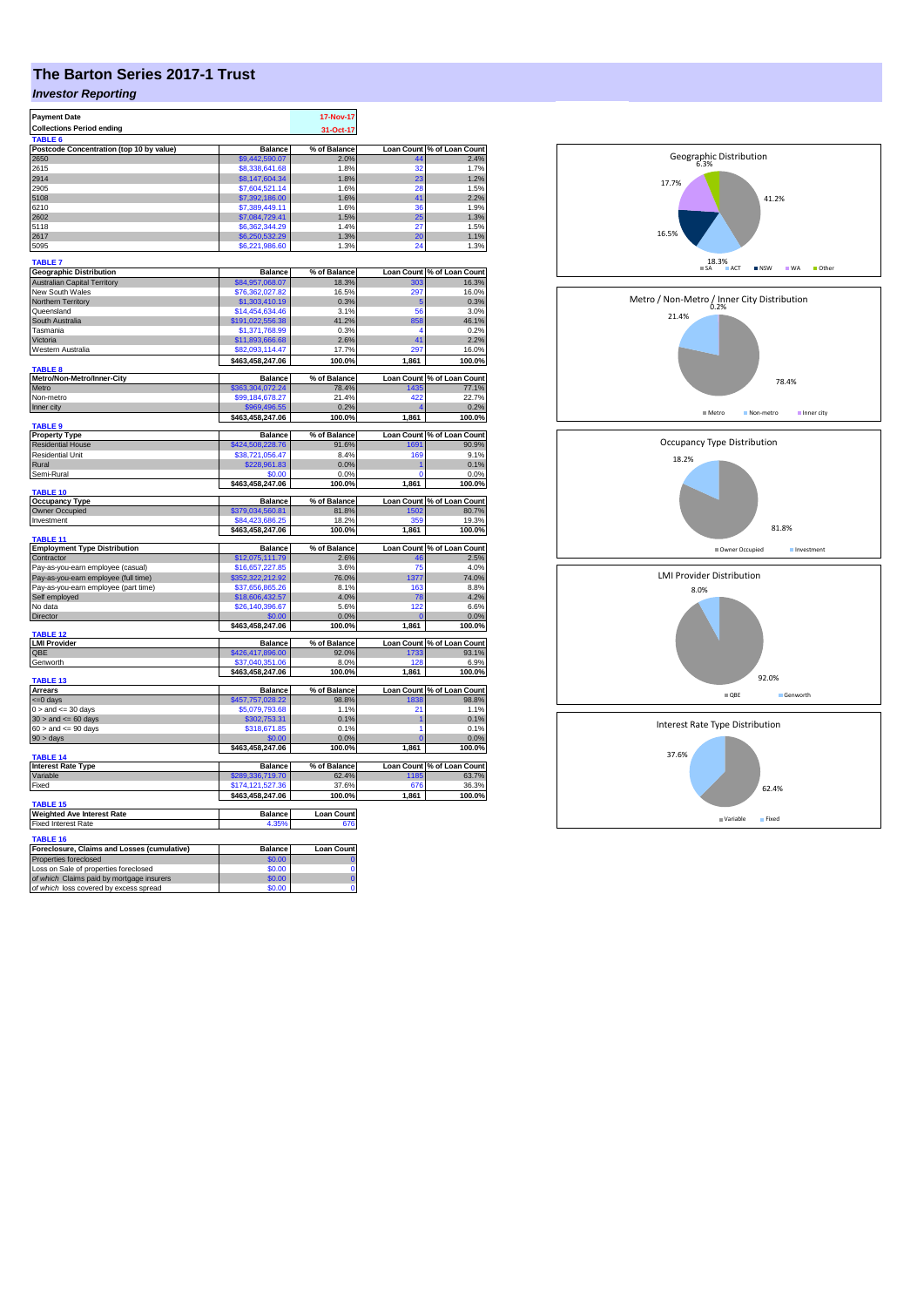## **The Barton Series 2017-1 Trust**

## *Investor Reporting*

| <b>Payment Date</b>                                                                 |                          | 17-Nov-17              |              |                            |
|-------------------------------------------------------------------------------------|--------------------------|------------------------|--------------|----------------------------|
| <b>Collections Period ending</b>                                                    |                          | 31-Oct-17              |              |                            |
| TABLE 6                                                                             |                          |                        |              |                            |
| Postcode Concentration (top 10 by value)                                            | <b>Balance</b>           | % of Balance           |              | Loan Count % of Loan Count |
| 2650                                                                                | \$9.442.590.07           | 2.0%                   |              | 2.4%                       |
| 2615                                                                                | \$8,338,641.68           | 1.8%                   | 32           | 1.7%                       |
| 2914                                                                                | \$8,147,604.34           | 1.8%                   | 23           | 1.2%                       |
| 2905                                                                                | \$7,604,521.14           | 1.6%                   | 28           | 1.5%                       |
| 5108                                                                                | \$7,392,186.00           | 1.6%                   | 41           | 2.2%                       |
| 6210                                                                                | \$7,389,449.11           | 1.6%                   | 36           | 1.9%                       |
| 2602                                                                                | \$7,084,729.41           | 1.5%                   | 25           | 1.3%                       |
| 5118                                                                                | \$6,362,344.29           | 1.4%                   | 27           | 1.5%                       |
| 2617                                                                                | \$6,250,532.29           | 1.3%                   | 20           | 1.1%                       |
| 5095                                                                                | \$6,221,986.60           | 1.3%                   | 24           | 1.3%                       |
| <b>TABLE 7</b>                                                                      |                          |                        |              |                            |
| <b>Geographic Distribution</b>                                                      | <b>Balance</b>           | % of Balance           |              | Loan Count % of Loan Count |
| <b>Australian Capital Territory</b>                                                 | \$84,957,068.07          | 18.3%                  | 303          | 16.3%                      |
| New South Wales                                                                     | \$76,362,027.82          | 16.5%                  | 297          | 16.0%                      |
| Northern Territory                                                                  | \$1,303,410.19           | 0.3%                   | 5            | 0.3%                       |
| Queensland                                                                          | \$14,454,634.46          | 3.1%                   | 56           | 3.0%                       |
| South Australia                                                                     | \$191,022,556.38         | 41.2%                  | 858          | 46.1%                      |
| Tasmania                                                                            | \$1,371,768.99           | 0.3%                   | 4            | 0.2%                       |
| Victoria                                                                            | \$11,893,666.68          | 2.6%                   | 41           | 2.2%                       |
| Western Australia                                                                   | \$82,093,114.47          | 17.7%                  | 297          | 16.0%                      |
|                                                                                     | \$463,458,247.06         | 100.0%                 | 1,861        | 100.0%                     |
| <b>TARIFR</b>                                                                       |                          |                        |              |                            |
| Metro/Non-Metro/Inner-City                                                          | <b>Balance</b>           | % of Balance           |              | Loan Count % of Loan Count |
| Metro                                                                               | \$363,304,072.24         | 78.4%                  | 1435         | 77.1%                      |
| Non-metro                                                                           | \$99,184,678.27          | 21.4%                  | 422          | 22.7%                      |
| Inner city                                                                          | \$969,496.55             | 0.2%                   |              | 0.2%                       |
|                                                                                     | \$463,458,247.06         | 100.0%                 | 1,861        | 100.0%                     |
| <b>TABLE 9</b>                                                                      |                          |                        |              |                            |
| <b>Property Type</b>                                                                | <b>Balance</b>           | % of Balance           |              | Loan Count % of Loan Count |
| <b>Residential House</b>                                                            | \$424,508,228.76         | 91.6%                  | 1691         | 90.9%                      |
| <b>Residential Unit</b>                                                             | \$38,721,056.47          | 8.4%                   | 169          | 9.1%                       |
| Rural                                                                               | \$228,961.83             | 0.0%                   |              | 0.1%                       |
| Semi-Rural                                                                          | \$0.00                   | 0.0%                   | $\mathbf{0}$ | 0.0%                       |
| TABLE 10                                                                            | \$463,458,247.06         | 100.0%                 | 1,861        | 100.0%                     |
| <b>Occupancy Type</b>                                                               | <b>Balance</b>           | % of Balance           |              | Loan Count % of Loan Count |
| <b>Owner Occupied</b>                                                               | \$379,034,560.81         | 81.8%                  | 1502         | 80.7%                      |
| Investment                                                                          | \$84,423,686.25          | 18.2%                  | 359          | 19.3%                      |
|                                                                                     | \$463,458,247.06         | 100.0%                 | 1,861        | 100.0%                     |
| <b>TABLE 11</b>                                                                     |                          |                        |              |                            |
| <b>Employment Type Distribution</b>                                                 | <b>Balance</b>           | % of Balance           |              | Loan Count % of Loan Count |
| Contractor                                                                          | \$12,075,111.79          | 2.6%                   | 46           | 2.5%                       |
| Pay-as-you-earn employee (casual)                                                   | \$16,657,227.85          | 3.6%                   | 75           | 4.0%                       |
| Pay-as-you-earn employee (full time)                                                | 352,322,212.92           | 76.0%                  | 1377         | 74.0%                      |
| Pay-as-you-earn employee (part time)                                                | \$37,656,865.26          | 8.1%                   | 163          | 8.8%                       |
| Self employed                                                                       | \$18,606,432.57          | 4.0%                   | 78           | 4.2%                       |
| No data                                                                             | \$26,140,396.67          | 5.6%                   | 122          | 6.6%                       |
| Director                                                                            | \$0.00                   | 0.0%                   |              | 0.0%                       |
| TABLE <sub>12</sub>                                                                 | \$463,458,247.06         | 100.0%                 | 1,861        | 100.0%                     |
| <b>LMI Provider</b>                                                                 | <b>Balance</b>           | % of Balance           |              | Loan Count % of Loan Count |
| QBE                                                                                 | \$426,417,896.00         | 92.0%                  | 1733         | 93.1%                      |
| Genworth                                                                            | \$37,040,351.06          | 8.0%                   | 128          | 6.9%                       |
|                                                                                     | \$463,458,247.06         | 100.0%                 | 1,861        | 100.0%                     |
| TABLE 13                                                                            |                          |                        |              |                            |
| <b>Arrears</b>                                                                      | <b>Balance</b>           | % of Balance           |              | Loan Count % of Loan Count |
| $=0$ days                                                                           | \$457,757,028.22         | 98.8%                  | 1838         | 98.8%                      |
| $0 >$ and $\leq$ 30 days                                                            | \$5,079,793.68           | 1.1%                   | 21           | 1.1%                       |
| $30$ > and <= 60 days                                                               | \$302,753.31             | 0.1%                   | 1            | 0.1%                       |
| $60 >$ and $\leq 90$ days                                                           | \$318,671.85             | 0.1%                   | 1            | 0.1%                       |
| 90 > days                                                                           | \$0.00                   | 0.0%                   |              | 0.0%                       |
|                                                                                     | \$463,458,247.06         | 100.0%                 | 1,861        | 100.0%                     |
| <b>TABLE 14</b><br><b>Interest Rate Type</b>                                        | <b>Balance</b>           | % of Balance           |              | Loan Count % of Loan Count |
| Variable                                                                            | \$289,336,719.70         | 62.4%                  | 1185         | 63.7%                      |
| Fixed                                                                               | \$174,121,527.36         | 37.6%                  | 676          | 36.3%                      |
|                                                                                     | \$463,458,247.06         | 100.0%                 | 1,861        | 100.0%                     |
| <b>TABLE 15</b>                                                                     |                          |                        |              |                            |
| <b>Weighted Ave Interest Rate</b>                                                   | <b>Balance</b>           | <b>Loan Count</b>      |              |                            |
| <b>Fixed Interest Rate</b>                                                          | 4.35%                    | 676                    |              |                            |
|                                                                                     |                          |                        |              |                            |
| TABLE 16                                                                            |                          |                        |              |                            |
| Foreclosure, Claims and Losses (cumulative)                                         | <b>Balance</b><br>\$0.00 | <b>Loan Count</b><br>O |              |                            |
| Properties foreclosed<br>Loss on Sale of properties foreclosed                      | \$0.00                   | $\overline{0}$         |              |                            |
|                                                                                     |                          |                        |              |                            |
|                                                                                     |                          |                        |              |                            |
| of which Claims paid by mortgage insurers<br>of which loss covered by excess spread | \$0.00<br>\$0.00         | Ō<br>$\overline{0}$    |              |                            |